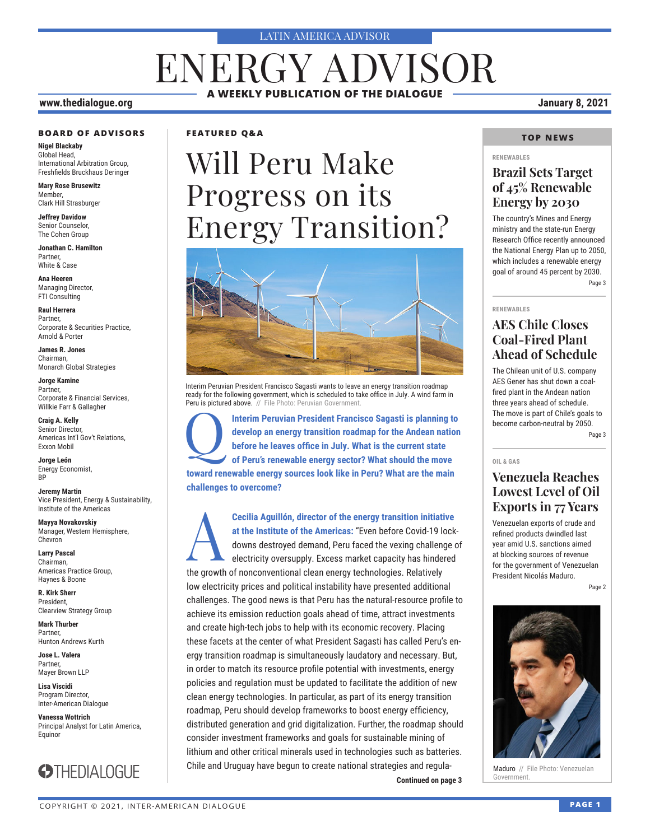#### LATIN AMERICA ADVISOR

# ENERGY ADVISOR **A WEEKLY PUBLICATION OF THE DIALOGUE**

#### **www.thedialogue.org January 8, 2021**

#### **BOARD OF ADVISORS**

**Nigel Blackaby** Global Head, International Arbitration Group, Freshfields Bruckhaus Deringer

**Mary Rose Brusewitz** Member, Clark Hill Strasburger

**Jeffrey Davidow** Senior Counselor, The Cohen Group

**Jonathan C. Hamilton** Partner, White & Case

**Ana Heeren** Managing Director, FTI Consulting

**Raul Herrera** Partner, Corporate & Securities Practice, Arnold & Porter

**James R. Jones** Chairman, Monarch Global Strategies

**Jorge Kamine** Partner, Corporate & Financial Services, Willkie Farr & Gallagher

**Craig A. Kelly** Senior Director, Americas Int'l Gov't Relations, Exxon Mobil

**Jorge León** Energy Economist, **RP** 

**Jeremy Martin** Vice President, Energy & Sustainability, Institute of the Americas

**Mayya Novakovskiy** Manager, Western Hemisphere, Chevron

**Larry Pascal** Chairman, Americas Practice Group, Haynes & Boone

**R. Kirk Sherr** President, Clearview Strategy Group

**Mark Thurber** Partner, Hunton Andrews Kurth

**Jose L. Valera** Partner, Mayer Brown LLP

**Lisa Viscidi** Program Director, Inter-American Dialogue

**Vanessa Wottrich** Principal Analyst for Latin America, Equinor



#### **FEATURED Q&A**

# Will Peru Make Progress on its Energy Transition?



Interim Peruvian President Francisco Sagasti wants to leave an energy transition roadmap ready for the following government, which is scheduled to take office in July. A wind farm in Peru is pictured above. // File Photo: Peruvian Government

Interim Peruvian President Francisco Sagasti is planning to develop an energy transition roadmap for the Andean nation before he leaves office in July. What is the current state of Peru's renewable energy sector? What shou **develop an energy transition roadmap for the Andean nation before he leaves office in July. What is the current state of Peru's renewable energy sector? What should the move toward renewable energy sources look like in Peru? What are the main challenges to overcome?**

**Continued on page 3 Covernment. Cecilia Aguillón, director of the energy transition initiative at the Institute of the Americas: "Even before Covid-19 lock downs destroyed demand, Peru faced the vexing challenge of electricity oversupply. Excess market at the Institute of the Americas:** "Even before Covid-19 lockdowns destroyed demand, Peru faced the vexing challenge of electricity oversupply. Excess market capacity has hindered the growth of nonconventional clean energy technologies. Relatively low electricity prices and political instability have presented additional challenges. The good news is that Peru has the natural-resource profile to achieve its emission reduction goals ahead of time, attract investments and create high-tech jobs to help with its economic recovery. Placing these facets at the center of what President Sagasti has called Peru's energy transition roadmap is simultaneously laudatory and necessary. But, in order to match its resource profile potential with investments, energy policies and regulation must be updated to facilitate the addition of new clean energy technologies. In particular, as part of its energy transition roadmap, Peru should develop frameworks to boost energy efficiency, distributed generation and grid digitalization. Further, the roadmap should consider investment frameworks and goals for sustainable mining of lithium and other critical minerals used in technologies such as batteries. Chile and Uruguay have begun to create national strategies and regula-

#### **TOP NEWS**

#### **RENEWABLES**

### **Brazil Sets Target of 45% Renewable Energy by 2030**

The country's Mines and Energy ministry and the state-run Energy Research Office recently announced the National Energy Plan up to 2050, which includes a renewable energy goal of around 45 percent by 2030. Page 3

#### **RENEWABLES**

### **AES Chile Closes Coal-Fired Plant Ahead of Schedule**

The Chilean unit of U.S. company AES Gener has shut down a coalfired plant in the Andean nation three years ahead of schedule. The move is part of Chile's goals to become carbon-neutral by 2050.

Page 3

#### **OIL & GAS**

### **Venezuela Reaches Lowest Level of Oil Exports in 77 Years**

Venezuelan exports of crude and refined products dwindled last year amid U.S. sanctions aimed at blocking sources of revenue for the government of Venezuelan President Nicolás Maduro.

Page 2



Maduro // File Photo: Venezuelan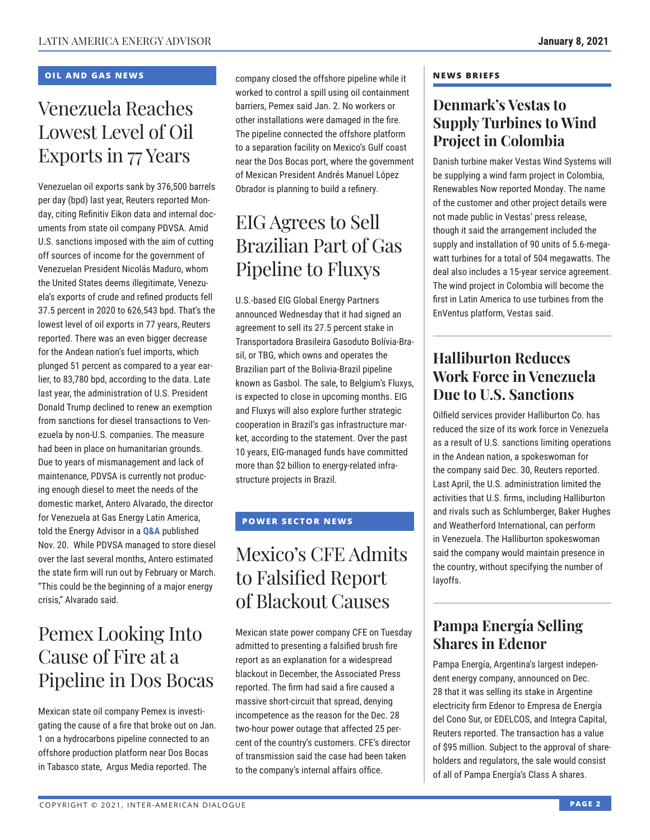### **OIL AND GAS NEWS**

# Venezuela Reaches Lowest Level of Oil Exports in 77 Years

Venezuelan oil exports sank by 376,500 barrels per day (bpd) last year, Reuters reported Monday, citing Refinitiv Eikon data and internal documents from state oil company PDVSA. Amid U.S. sanctions imposed with the aim of cutting off sources of income for the government of Venezuelan President Nicolás Maduro, whom the United States deems illegitimate, Venezuela's exports of crude and refined products fell 37.5 percent in 2020 to 626,543 bpd. That's the lowest level of oil exports in 77 years, Reuters reported. There was an even bigger decrease for the Andean nation's fuel imports, which plunged 51 percent as compared to a year earlier, to 83,780 bpd, according to the data. Late last year, the administration of U.S. President Donald Trump declined to renew an exemption from sanctions for diesel transactions to Venezuela by non-U.S. companies. The measure had been in place on humanitarian grounds. Due to years of mismanagement and lack of maintenance, PDVSA is currently not producing enough diesel to meet the needs of the domestic market, Antero Alvarado, the director for Venezuela at Gas Ene[rgy Latin](http://www.thedialogue.org/wp-content/uploads/2020/11/LEA201120.pdf) America, told the Energy Advisor in a **Q&A** published Nov. 20. While PDVSA managed to store diesel over the last several months, Antero estimated the state firm will run out by February or March. "This could be the beginning of a major energy crisis," Alvarado said.

# Pemex Looking Into Cause of Fire at a Pipeline in Dos Bocas

Mexican state oil company Pemex is investigating the cause of a fire that broke out on Jan. 1 on a hydrocarbons pipeline connected to an offshore production platform near Dos Bocas in Tabasco state, Argus Media reported. The

company closed the offshore pipeline while it worked to control a spill using oil containment barriers, Pemex said Jan. 2. No workers or other installations were damaged in the fire. The pipeline connected the offshore platform to a separation facility on Mexico's Gulf coast near the Dos Bocas port, where the government of Mexican President Andrés Manuel López Obrador is planning to build a refinery.

# EIG Agrees to Sell Brazilian Part of Gas Pipeline to Fluxys

U.S.-based EIG Global Energy Partners announced Wednesday that it had signed an agreement to sell its 27.5 percent stake in Transportadora Brasileira Gasoduto Bolívia-Brasil, or TBG, which owns and operates the Brazilian part of the Bolivia-Brazil pipeline known as Gasbol. The sale, to Belgium's Fluxys, is expected to close in upcoming months. EIG and Fluxys will also explore further strategic cooperation in Brazil's gas infrastructure market, according to the statement. Over the past 10 years, EIG-managed funds have committed more than \$2 billion to energy-related infrastructure projects in Brazil.

### **POWER SECTOR NEWS**

# Mexico's CFE Admits to Falsified Report of Blackout Causes

Mexican state power company CFE on Tuesday admitted to presenting a falsified brush fire report as an explanation for a widespread blackout in December, the Associated Press reported. The firm had said a fire caused a massive short-circuit that spread, denying incompetence as the reason for the Dec. 28 two-hour power outage that affected 25 percent of the country's customers. CFE's director of transmission said the case had been taken to the company's internal affairs office.

#### **NEWS BRIEFS**

## **Denmark's Vestas to Supply Turbines to Wind Project in Colombia**

Danish turbine maker Vestas Wind Systems will be supplying a wind farm project in Colombia, Renewables Now reported Monday. The name of the customer and other project details were not made public in Vestas' press release, though it said the arrangement included the supply and installation of 90 units of 5.6-megawatt turbines for a total of 504 megawatts. The deal also includes a 15-year service agreement. The wind project in Colombia will become the first in Latin America to use turbines from the EnVentus platform, Vestas said.

# **Halliburton Reduces Work Force in Venezuela Due to U.S. Sanctions**

Oilfield services provider Halliburton Co. has reduced the size of its work force in Venezuela as a result of U.S. sanctions limiting operations in the Andean nation, a spokeswoman for the company said Dec. 30, Reuters reported. Last April, the U.S. administration limited the activities that U.S. firms, including Halliburton and rivals such as Schlumberger, Baker Hughes and Weatherford International, can perform in Venezuela. The Halliburton spokeswoman said the company would maintain presence in the country, without specifying the number of layoffs.

# **Pampa Energía Selling Shares in Edenor**

Pampa Energía, Argentina's largest independent energy company, announced on Dec. 28 that it was selling its stake in Argentine electricity firm Edenor to Empresa de Energía del Cono Sur, or EDELCOS, and Integra Capital, Reuters reported. The transaction has a value of \$95 million. Subject to the approval of shareholders and regulators, the sale would consist of all of Pampa Energía's Class A shares.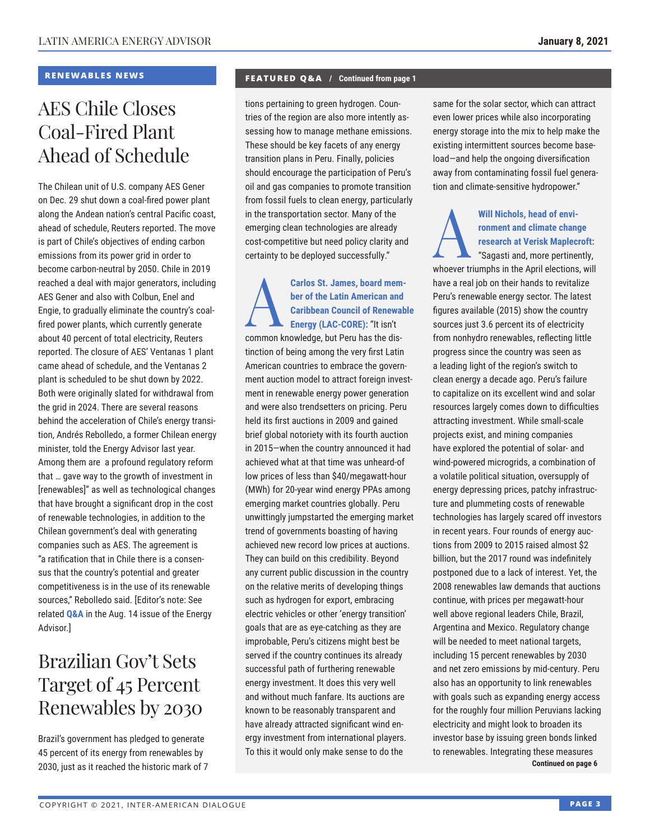### **RENEWABLES NEWS**

# AES Chile Closes Coal-Fired Plant Ahead of Schedule

The Chilean unit of U.S. company AES Gener on Dec. 29 shut down a coal-fired power plant along the Andean nation's central Pacific coast, ahead of schedule, Reuters reported. The move is part of Chile's objectives of ending carbon emissions from its power grid in order to become carbon-neutral by 2050. Chile in 2019 reached a deal with major generators, including AES Gener and also with Colbun, Enel and Engie, to gradually eliminate the country's coalfired power plants, which currently generate about 40 percent of total electricity, Reuters reported. The closure of AES' Ventanas 1 plant came ahead of schedule, and the Ventanas 2 plant is scheduled to be shut down by 2022. Both were originally slated for withdrawal from the grid in 2024. There are several reasons behind the acceleration of Chile's energy transition, Andrés Rebolledo, a former Chilean energy minister, told the Energy Advisor last year. Among them are a profound regulatory reform that … gave way to the growth of investment in [renewables]" as well as technological changes that have brought a significant drop in the cost of renewable technologies, in addition to the Chilean government's deal with generating companies such as AES. The agreement is "a ratification that in Chile there is a consensus that the country's potential and greater competitiveness is in the use of its renewable sources," Rebolledo said. [Editor's note: See related **[Q&A](http://www.thedialogue.org/wp-content/uploads/2020/08/LEA200814.pdf)** in the Aug. 14 issue of the Energy Advisor.]

# Brazilian Gov't Sets Target of 45 Percent Renewables by 2030

Brazil's government has pledged to generate 45 percent of its energy from renewables by 2030, just as it reached the historic mark of 7

#### **FEATURED Q&A / Continued from page 1**

tions pertaining to green hydrogen. Countries of the region are also more intently assessing how to manage methane emissions. These should be key facets of any energy transition plans in Peru. Finally, policies should encourage the participation of Peru's oil and gas companies to promote transition from fossil fuels to clean energy, particularly in the transportation sector. Many of the emerging clean technologies are already cost-competitive but need policy clarity and certainty to be deployed successfully."

Carlos St. James, board member of the Latin American and<br>
Caribbean Council of Renewab<br>
Energy (LAC-CORE): "It isn't **ber of the Latin American and Caribbean Council of Renewable Energy (LAC-CORE):** "It isn't common knowledge, but Peru has the distinction of being among the very first Latin American countries to embrace the government auction model to attract foreign investment in renewable energy power generation and were also trendsetters on pricing. Peru held its first auctions in 2009 and gained brief global notoriety with its fourth auction in 2015—when the country announced it had achieved what at that time was unheard-of low prices of less than \$40/megawatt-hour (MWh) for 20-year wind energy PPAs among emerging market countries globally. Peru unwittingly jumpstarted the emerging market trend of governments boasting of having achieved new record low prices at auctions. They can build on this credibility. Beyond any current public discussion in the country on the relative merits of developing things such as hydrogen for export, embracing electric vehicles or other 'energy transition' goals that are as eye-catching as they are improbable, Peru's citizens might best be served if the country continues its already successful path of furthering renewable energy investment. It does this very well and without much fanfare. Its auctions are known to be reasonably transparent and have already attracted significant wind energy investment from international players. To this it would only make sense to do the

same for the solar sector, which can attract even lower prices while also incorporating energy storage into the mix to help make the existing intermittent sources become baseload—and help the ongoing diversification away from contaminating fossil fuel generation and climate-sensitive hydropower."

### Will Nichols, head of environment and climate change<br>
research at Verisk Maplec<br>
"Sagasti and, more pertine **ronment and climate change research at Verisk Maplecroft:** "Sagasti and, more pertinently,

whoever triumphs in the April elections, will have a real job on their hands to revitalize Peru's renewable energy sector. The latest figures available (2015) show the country sources just 3.6 percent its of electricity from nonhydro renewables, reflecting little progress since the country was seen as a leading light of the region's switch to clean energy a decade ago. Peru's failure to capitalize on its excellent wind and solar resources largely comes down to difficulties attracting investment. While small-scale projects exist, and mining companies have explored the potential of solar- and wind-powered microgrids, a combination of a volatile political situation, oversupply of energy depressing prices, patchy infrastructure and plummeting costs of renewable technologies has largely scared off investors in recent years. Four rounds of energy auctions from 2009 to 2015 raised almost \$2 billion, but the 2017 round was indefinitely postponed due to a lack of interest. Yet, the 2008 renewables law demands that auctions continue, with prices per megawatt-hour well above regional leaders Chile, Brazil, Argentina and Mexico. Regulatory change will be needed to meet national targets, including 15 percent renewables by 2030 and net zero emissions by mid-century. Peru also has an opportunity to link renewables with goals such as expanding energy access for the roughly four million Peruvians lacking electricity and might look to broaden its investor base by issuing green bonds linked to renewables. Integrating these measures **Continued on page 6**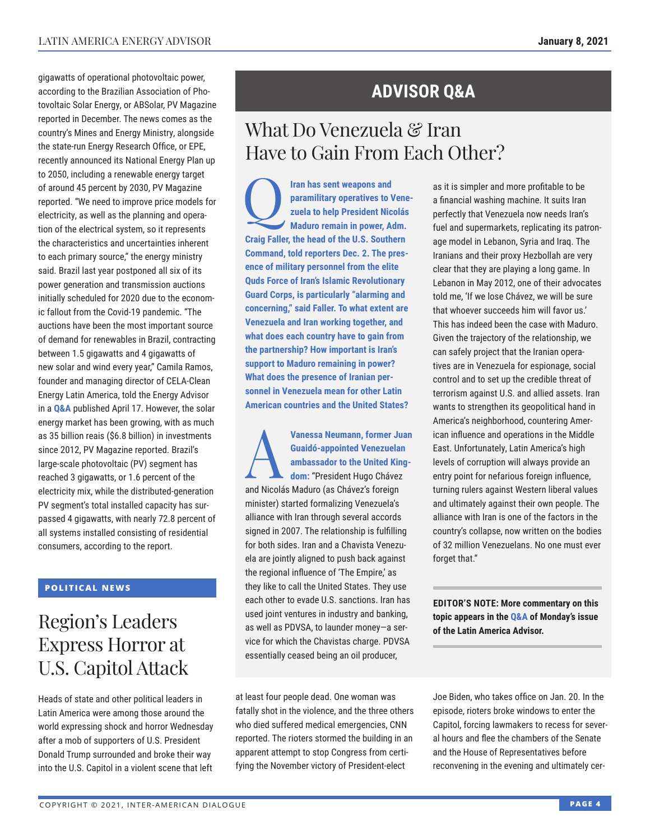gigawatts of operational photovoltaic power, according to the Brazilian Association of Photovoltaic Solar Energy, or ABSolar, PV Magazine reported in December. The news comes as the country's Mines and Energy Ministry, alongside the state-run Energy Research Office, or EPE, recently announced its National Energy Plan up to 2050, including a renewable energy target of around 45 percent by 2030, PV Magazine reported. "We need to improve price models for electricity, as well as the planning and operation of the electrical system, so it represents the characteristics and uncertainties inherent to each primary source," the energy ministry said. Brazil last year postponed all six of its power generation and transmission auctions initially scheduled for 2020 due to the economic fallout from the Covid-19 pandemic. "The auctions have been the most important source of demand for renewables in Brazil, contracting between 1.5 gigawatts and 4 gigawatts of new solar and wind every year," Camila Ramos, founder and managing director of CELA-Clean Energy Latin America, told the Energy Advisor in a **[Q&A](http://www.thedialogue.org/wp-content/uploads/2020/04/LEA200417.pdf)** published April 17. However, the solar energy market has been growing, with as much as 35 billion reais (\$6.8 billion) in investments since 2012, PV Magazine reported. Brazil's large-scale photovoltaic (PV) segment has reached 3 gigawatts, or 1.6 percent of the electricity mix, while the distributed-generation PV segment's total installed capacity has surpassed 4 gigawatts, with nearly 72.8 percent of all systems installed consisting of residential consumers, according to the report.

### **POLITICAL NEWS**

# Region's Leaders Express Horror at U.S. Capitol Attack

Heads of state and other political leaders in Latin America were among those around the world expressing shock and horror Wednesday after a mob of supporters of U.S. President Donald Trump surrounded and broke their way into the U.S. Capitol in a violent scene that left

# **ADVISOR Q&A**

# What Do Venezuela & Iran Have to Gain From Each Other?

Q**Iran has sent weapons and paramilitary operatives to Venezuela to help President Nicolás Maduro remain in power, Adm. Craig Faller, the head of the U.S. Southern Command, told reporters Dec. 2. The presence of military personnel from the elite Quds Force of Iran's Islamic Revolutionary Guard Corps, is particularly "alarming and concerning," said Faller. To what extent are Venezuela and Iran working together, and what does each country have to gain from the partnership? How important is Iran's support to Maduro remaining in power? What does the presence of Iranian personnel in Venezuela mean for other Latin American countries and the United States?**

**Vanessa Neumann, former Juan<br>
Guaidó-appointed Venezuelan<br>
ambassador to the United King-<br>
dom: "President Hugo Chávez<br>
and Nisalás Madwa (as Okávez's fantim Guaidó-appointed Venezuelan ambassador to the United Kingdom:** "President Hugo Chávez

and Nicolás Maduro (as Chávez's foreign minister) started formalizing Venezuela's alliance with Iran through several accords signed in 2007. The relationship is fulfilling for both sides. Iran and a Chavista Venezuela are jointly aligned to push back against the regional influence of 'The Empire,' as they like to call the United States. They use each other to evade U.S. sanctions. Iran has used joint ventures in industry and banking, as well as PDVSA, to launder money—a service for which the Chavistas charge. PDVSA essentially ceased being an oil producer,

at least four people dead. One woman was fatally shot in the violence, and the three others who died suffered medical emergencies, CNN reported. The rioters stormed the building in an apparent attempt to stop Congress from certifying the November victory of President-elect

as it is simpler and more profitable to be a financial washing machine. It suits Iran perfectly that Venezuela now needs Iran's fuel and supermarkets, replicating its patronage model in Lebanon, Syria and Iraq. The Iranians and their proxy Hezbollah are very clear that they are playing a long game. In Lebanon in May 2012, one of their advocates told me, 'If we lose Chávez, we will be sure that whoever succeeds him will favor us.' This has indeed been the case with Maduro. Given the trajectory of the relationship, we can safely project that the Iranian operatives are in Venezuela for espionage, social control and to set up the credible threat of terrorism against U.S. and allied assets. Iran wants to strengthen its geopolitical hand in America's neighborhood, countering American influence and operations in the Middle East. Unfortunately, Latin America's high levels of corruption will always provide an entry point for nefarious foreign influence, turning rulers against Western liberal values and ultimately against their own people. The alliance with Iran is one of the factors in the country's collapse, now written on the bodies of 32 million Venezuelans. No one must ever forget that."

**EDITOR'S NOTE: More commentary on this topic appears in th[e Q&A o](http://www.thedialogue.org/wp-content/uploads/2021/01/LAA210104.pdf)f Monday's issue of the Latin America Advisor.**

Joe Biden, who takes office on Jan. 20. In the episode, rioters broke windows to enter the Capitol, forcing lawmakers to recess for several hours and flee the chambers of the Senate and the House of Representatives before reconvening in the evening and ultimately cer-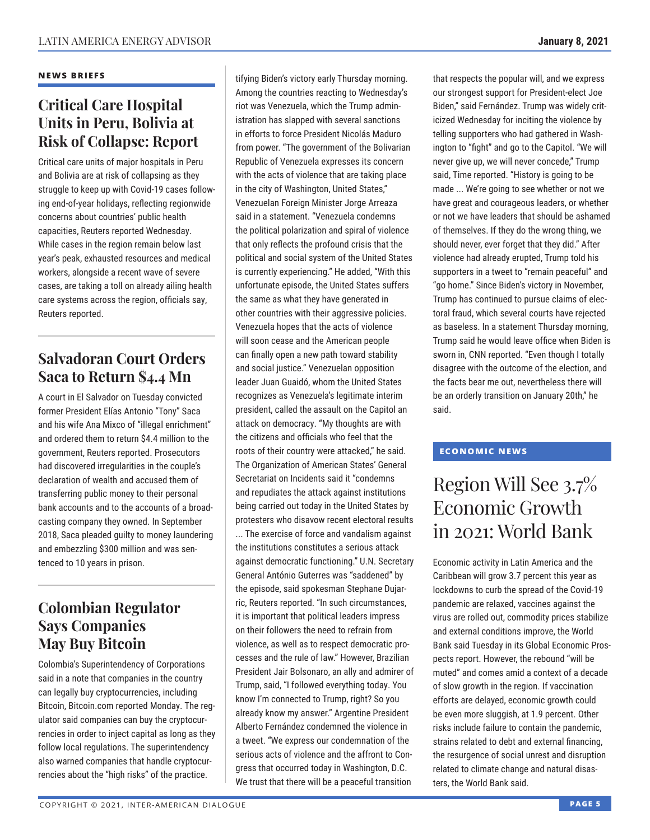#### **NEWS BRIEFS**

### **Critical Care Hospital Units in Peru, Bolivia at Risk of Collapse: Report**

Critical care units of major hospitals in Peru and Bolivia are at risk of collapsing as they struggle to keep up with Covid-19 cases following end-of-year holidays, reflecting regionwide concerns about countries' public health capacities, Reuters reported Wednesday. While cases in the region remain below last year's peak, exhausted resources and medical workers, alongside a recent wave of severe cases, are taking a toll on already ailing health care systems across the region, officials say, Reuters reported.

## **Salvadoran Court Orders Saca to Return \$4.4 Mn**

A court in El Salvador on Tuesday convicted former President Elías Antonio "Tony" Saca and his wife Ana Mixco of "illegal enrichment" and ordered them to return \$4.4 million to the government, Reuters reported. Prosecutors had discovered irregularities in the couple's declaration of wealth and accused them of transferring public money to their personal bank accounts and to the accounts of a broadcasting company they owned. In September 2018, Saca pleaded guilty to money laundering and embezzling \$300 million and was sentenced to 10 years in prison.

### **Colombian Regulator Says Companies May Buy Bitcoin**

Colombia's Superintendency of Corporations said in a note that companies in the country can legally buy cryptocurrencies, including Bitcoin, Bitcoin.com reported Monday. The regulator said companies can buy the cryptocurrencies in order to inject capital as long as they follow local regulations. The superintendency also warned companies that handle cryptocurrencies about the "high risks" of the practice.

tifying Biden's victory early Thursday morning. Among the countries reacting to Wednesday's riot was Venezuela, which the Trump administration has slapped with several sanctions in efforts to force President Nicolás Maduro from power. "The government of the Bolivarian Republic of Venezuela expresses its concern with the acts of violence that are taking place in the city of Washington, United States," Venezuelan Foreign Minister Jorge Arreaza said in a statement. "Venezuela condemns the political polarization and spiral of violence that only reflects the profound crisis that the political and social system of the United States is currently experiencing." He added, "With this unfortunate episode, the United States suffers the same as what they have generated in other countries with their aggressive policies. Venezuela hopes that the acts of violence will soon cease and the American people can finally open a new path toward stability and social justice." Venezuelan opposition leader Juan Guaidó, whom the United States recognizes as Venezuela's legitimate interim president, called the assault on the Capitol an attack on democracy. "My thoughts are with the citizens and officials who feel that the roots of their country were attacked," he said. The Organization of American States' General Secretariat on Incidents said it "condemns and repudiates the attack against institutions being carried out today in the United States by protesters who disavow recent electoral results ... The exercise of force and vandalism against the institutions constitutes a serious attack against democratic functioning." U.N. Secretary General António Guterres was "saddened" by the episode, said spokesman Stephane Dujarric, Reuters reported. "In such circumstances, it is important that political leaders impress on their followers the need to refrain from violence, as well as to respect democratic processes and the rule of law." However, Brazilian President Jair Bolsonaro, an ally and admirer of Trump, said, "I followed everything today. You know I'm connected to Trump, right? So you already know my answer." Argentine President Alberto Fernández condemned the violence in a tweet. "We express our condemnation of the serious acts of violence and the affront to Congress that occurred today in Washington, D.C. We trust that there will be a peaceful transition

that respects the popular will, and we express our strongest support for President-elect Joe Biden," said Fernández. Trump was widely criticized Wednesday for inciting the violence by telling supporters who had gathered in Washington to "fight" and go to the Capitol. "We will never give up, we will never concede," Trump said, Time reported. "History is going to be made ... We're going to see whether or not we have great and courageous leaders, or whether or not we have leaders that should be ashamed of themselves. If they do the wrong thing, we should never, ever forget that they did." After violence had already erupted, Trump told his supporters in a tweet to "remain peaceful" and "go home." Since Biden's victory in November, Trump has continued to pursue claims of electoral fraud, which several courts have rejected as baseless. In a statement Thursday morning, Trump said he would leave office when Biden is sworn in, CNN reported. "Even though I totally disagree with the outcome of the election, and the facts bear me out, nevertheless there will be an orderly transition on January 20th," he said.

### **ECONOMIC NEWS**

# Region Will See 3.7% Economic Growth in 2021: World Bank

Economic activity in Latin America and the Caribbean will grow 3.7 percent this year as lockdowns to curb the spread of the Covid-19 pandemic are relaxed, vaccines against the virus are rolled out, commodity prices stabilize and external conditions improve, the World Bank said Tuesday in its Global Economic Prospects report. However, the rebound "will be muted" and comes amid a context of a decade of slow growth in the region. If vaccination efforts are delayed, economic growth could be even more sluggish, at 1.9 percent. Other risks include failure to contain the pandemic, strains related to debt and external financing, the resurgence of social unrest and disruption related to climate change and natural disasters, the World Bank said.